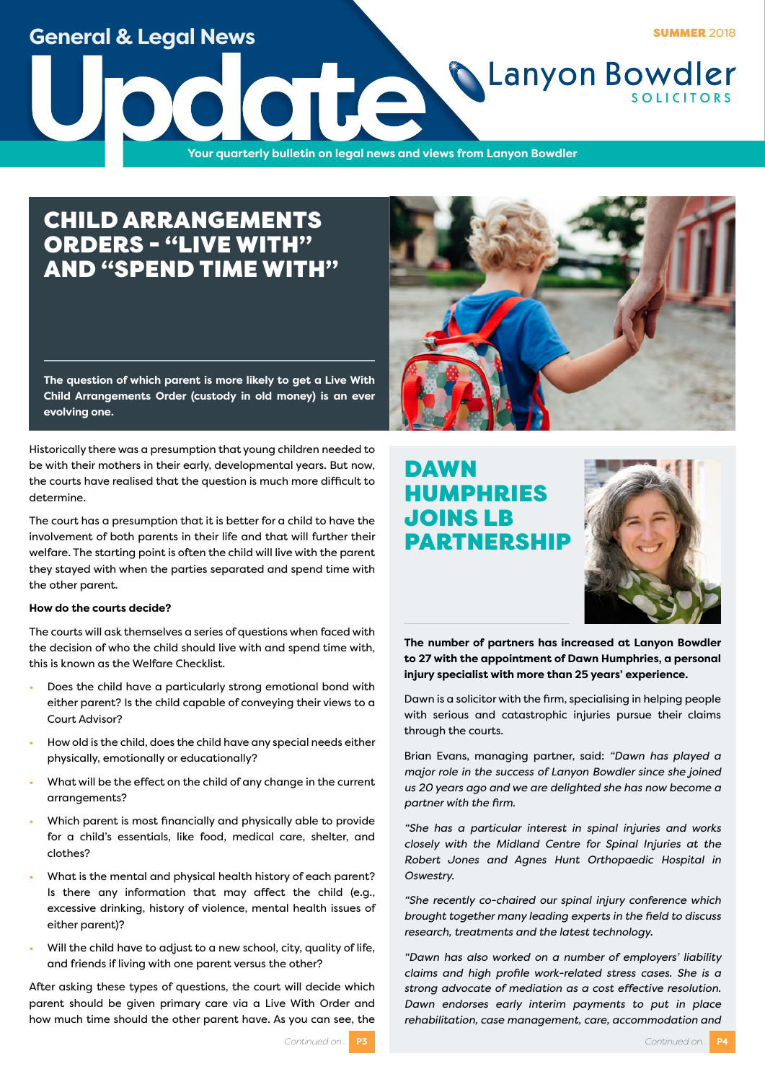### **General & Legal News**

**SUMMER 2018** 

**Lanyon Bowdler** 

**Update**<br>The Vour quarterly bulletin on legal news and v **Your quarterly bulletin on legal news and views from Lanyon Bowdler**

### CHILD ARRANGEMENTS ORDERS - "LIVE WITH" AND "SPEND TIME WITH"

**The question of which parent is more likely to get a Live With Child Arrangements Order (custody in old money) is an ever evolving one.** 

Historically there was a presumption that young children needed to be with their mothers in their early, developmental years. But now, the courts have realised that the question is much more difficult to determine.

The court has a presumption that it is better for a child to have the involvement of both parents in their life and that will further their welfare. The starting point is often the child will live with the parent they stayed with when the parties separated and spend time with the other parent.

### **How do the courts decide?**

The courts will ask themselves a series of questions when faced with the decision of who the child should live with and spend time with, this is known as the Welfare Checklist.

- Does the child have a particularly strong emotional bond with either parent? Is the child capable of conveying their views to a Court Advisor?
- How old is the child, does the child have any special needs either physically, emotionally or educationally?
- What will be the effect on the child of any change in the current arrangements?
- Which parent is most financially and physically able to provide for a child's essentials, like food, medical care, shelter, and clothes?
- What is the mental and physical health history of each parent? Is there any information that may affect the child (e.g., excessive drinking, history of violence, mental health issues of either parent)?
- Will the child have to adjust to a new school, city, quality of life, and friends if living with one parent versus the other?

After asking these types of questions, the court will decide which parent should be given primary care via a Live With Order and how much time should the other parent have. As you can see, the



### DAWN HUMPHRIES JOINS LB PARTNERSHIP



**The number of partners has increased at Lanyon Bowdler to 27 with the appointment of Dawn Humphries, a personal injury specialist with more than 25 years' experience.**

Dawn is a solicitor with the firm, specialising in helping people with serious and catastrophic injuries pursue their claims through the courts.

Brian Evans, managing partner, said: *"Dawn has played a major role in the success of Lanyon Bowdler since she joined us 20 years ago and we are delighted she has now become a partner with the firm.*

*"She has a particular interest in spinal injuries and works closely with the Midland Centre for Spinal Injuries at the Robert Jones and Agnes Hunt Orthopaedic Hospital in Oswestry.*

*"She recently co-chaired our spinal injury conference which brought together many leading experts in the field to discuss research, treatments and the latest technology.*

*"Dawn has also worked on a number of employers' liability claims and high profile work-related stress cases. She is a strong advocate of mediation as a cost effective resolution. Dawn endorses early interim payments to put in place rehabilitation, case management, care, accommodation and*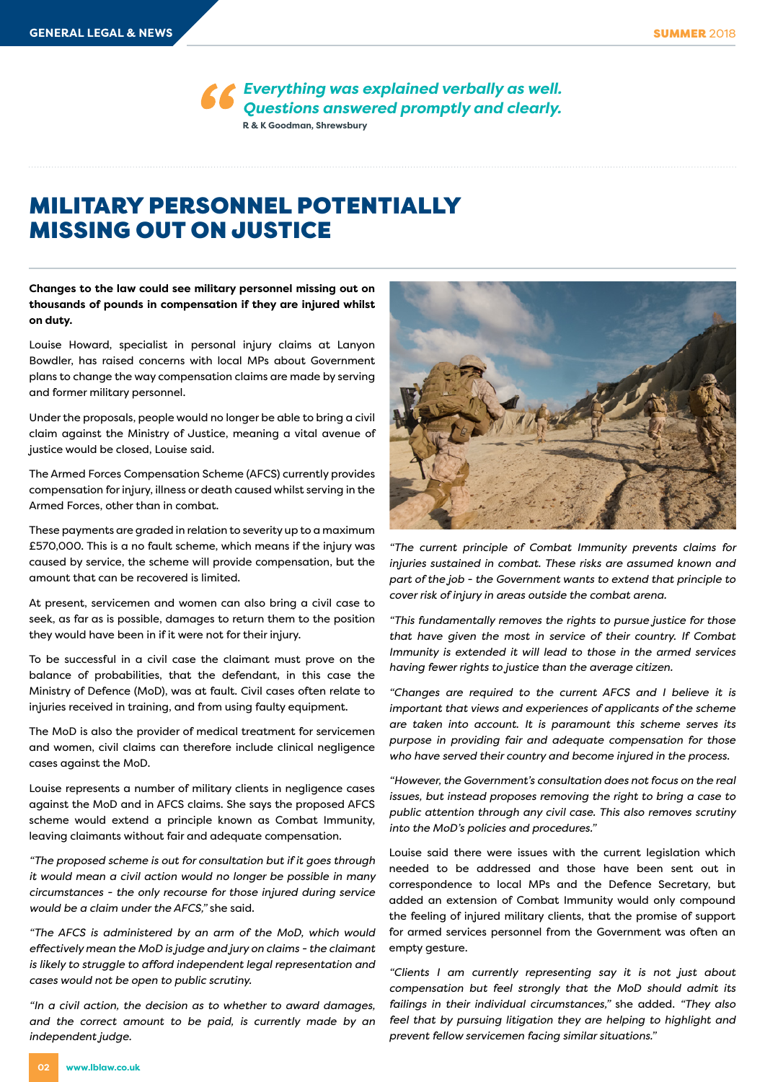*Everything was explained verbally as well. Questions answered promptly and clearly.* **R & K Goodman, Shrewsbury**

### MILITARY PERSONNEL POTENTIALLY MISSING OUT ON JUSTICE

**Changes to the law could see military personnel missing out on thousands of pounds in compensation if they are injured whilst on duty.**

Louise Howard, specialist in personal injury claims at Lanyon Bowdler, has raised concerns with local MPs about Government plans to change the way compensation claims are made by serving and former military personnel.

Under the proposals, people would no longer be able to bring a civil claim against the Ministry of Justice, meaning a vital avenue of justice would be closed, Louise said.

The Armed Forces Compensation Scheme (AFCS) currently provides compensation for injury, illness or death caused whilst serving in the Armed Forces, other than in combat.

These payments are graded in relation to severity up to a maximum £570,000. This is a no fault scheme, which means if the injury was caused by service, the scheme will provide compensation, but the amount that can be recovered is limited.

At present, servicemen and women can also bring a civil case to seek, as far as is possible, damages to return them to the position they would have been in if it were not for their injury.

To be successful in a civil case the claimant must prove on the balance of probabilities, that the defendant, in this case the Ministry of Defence (MoD), was at fault. Civil cases often relate to injuries received in training, and from using faulty equipment.

The MoD is also the provider of medical treatment for servicemen and women, civil claims can therefore include clinical negligence cases against the MoD.

Louise represents a number of military clients in negligence cases against the MoD and in AFCS claims. She says the proposed AFCS scheme would extend a principle known as Combat Immunity, leaving claimants without fair and adequate compensation.

*"The proposed scheme is out for consultation but if it goes through it would mean a civil action would no longer be possible in many circumstances - the only recourse for those injured during service would be a claim under the AFCS,"* she said.

*"The AFCS is administered by an arm of the MoD, which would effectively mean the MoD is judge and jury on claims - the claimant is likely to struggle to afford independent legal representation and cases would not be open to public scrutiny.*

*"In a civil action, the decision as to whether to award damages, and the correct amount to be paid, is currently made by an independent judge.* 



*"The current principle of Combat Immunity prevents claims for injuries sustained in combat. These risks are assumed known and part of the job - the Government wants to extend that principle to cover risk of injury in areas outside the combat arena.*

*"This fundamentally removes the rights to pursue justice for those that have given the most in service of their country. If Combat Immunity is extended it will lead to those in the armed services having fewer rights to justice than the average citizen.* 

*"Changes are required to the current AFCS and I believe it is important that views and experiences of applicants of the scheme are taken into account. It is paramount this scheme serves its purpose in providing fair and adequate compensation for those who have served their country and become injured in the process.*

*"However, the Government's consultation does not focus on the real issues, but instead proposes removing the right to bring a case to public attention through any civil case. This also removes scrutiny into the MoD's policies and procedures."*

Louise said there were issues with the current legislation which needed to be addressed and those have been sent out in correspondence to local MPs and the Defence Secretary, but added an extension of Combat Immunity would only compound the feeling of injured military clients, that the promise of support for armed services personnel from the Government was often an empty gesture.

*"Clients I am currently representing say it is not just about compensation but feel strongly that the MoD should admit its failings in their individual circumstances,"* she added. *"They also feel that by pursuing litigation they are helping to highlight and prevent fellow servicemen facing similar situations."*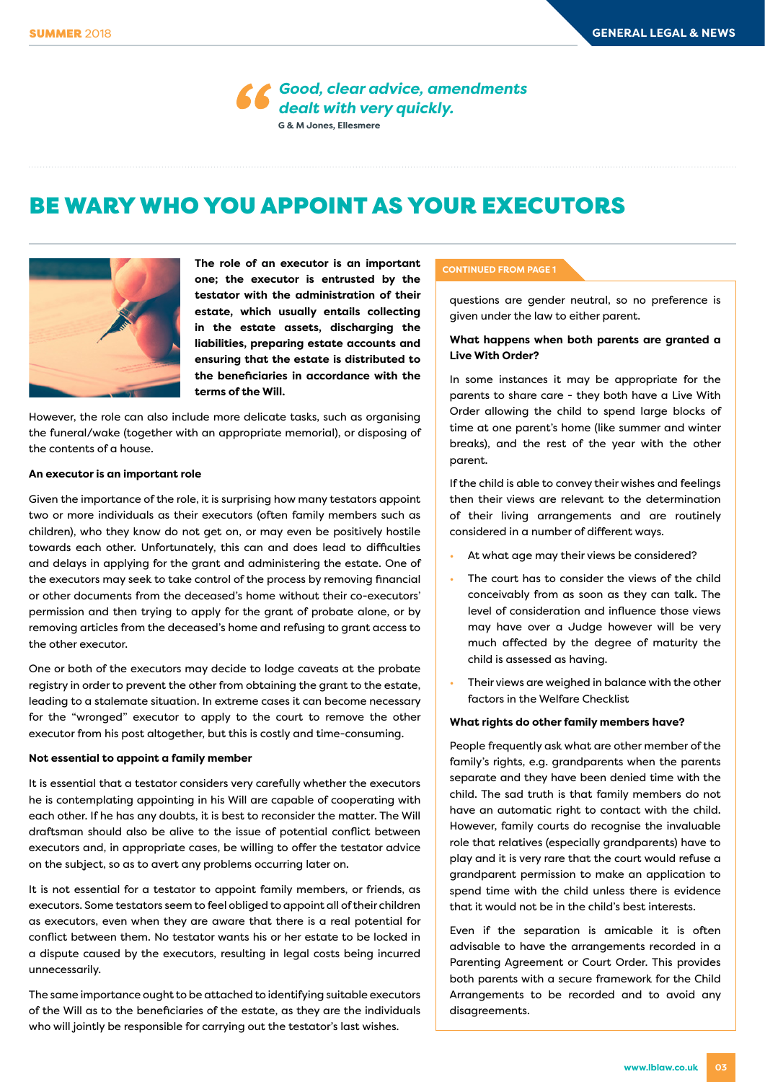*Good, clear advice, amendments dealt with very quickly.* **G & M Jones, Ellesmere**

# BE WARY WHO YOU APPOINT AS YOUR EXECUTORS



**The role of an executor is an important one; the executor is entrusted by the testator with the administration of their estate, which usually entails collecting in the estate assets, discharging the liabilities, preparing estate accounts and ensuring that the estate is distributed to the beneficiaries in accordance with the terms of the Will.** 

However, the role can also include more delicate tasks, such as organising the funeral/wake (together with an appropriate memorial), or disposing of the contents of a house.

### **An executor is an important role**

Given the importance of the role, it is surprising how many testators appoint two or more individuals as their executors (often family members such as children), who they know do not get on, or may even be positively hostile towards each other. Unfortunately, this can and does lead to difficulties and delays in applying for the grant and administering the estate. One of the executors may seek to take control of the process by removing financial or other documents from the deceased's home without their co-executors' permission and then trying to apply for the grant of probate alone, or by removing articles from the deceased's home and refusing to grant access to the other executor.

One or both of the executors may decide to lodge caveats at the probate registry in order to prevent the other from obtaining the grant to the estate, leading to a stalemate situation. In extreme cases it can become necessary for the "wronged" executor to apply to the court to remove the other executor from his post altogether, but this is costly and time-consuming.

#### **Not essential to appoint a family member**

It is essential that a testator considers very carefully whether the executors he is contemplating appointing in his Will are capable of cooperating with each other. If he has any doubts, it is best to reconsider the matter. The Will draftsman should also be alive to the issue of potential conflict between executors and, in appropriate cases, be willing to offer the testator advice on the subject, so as to avert any problems occurring later on.

It is not essential for a testator to appoint family members, or friends, as executors. Some testators seem to feel obliged to appoint all of their children as executors, even when they are aware that there is a real potential for conflict between them. No testator wants his or her estate to be locked in a dispute caused by the executors, resulting in legal costs being incurred unnecessarily.

The same importance ought to be attached to identifying suitable executors of the Will as to the beneficiaries of the estate, as they are the individuals who will jointly be responsible for carrying out the testator's last wishes.

#### **CONTINUED FROM PAGE 1**

questions are gender neutral, so no preference is given under the law to either parent.

### **What happens when both parents are granted a Live With Order?**

In some instances it may be appropriate for the parents to share care - they both have a Live With Order allowing the child to spend large blocks of time at one parent's home (like summer and winter breaks), and the rest of the year with the other parent.

If the child is able to convey their wishes and feelings then their views are relevant to the determination of their living arrangements and are routinely considered in a number of different ways.

- At what age may their views be considered?
- The court has to consider the views of the child conceivably from as soon as they can talk. The level of consideration and influence those views may have over a Judge however will be very much affected by the degree of maturity the child is assessed as having.
- Their views are weighed in balance with the other factors in the Welfare Checklist

### **What rights do other family members have?**

People frequently ask what are other member of the family's rights, e.g. grandparents when the parents separate and they have been denied time with the child. The sad truth is that family members do not have an automatic right to contact with the child. However, family courts do recognise the invaluable role that relatives (especially grandparents) have to play and it is very rare that the court would refuse a grandparent permission to make an application to spend time with the child unless there is evidence that it would not be in the child's best interests.

Even if the separation is amicable it is often advisable to have the arrangements recorded in a Parenting Agreement or Court Order. This provides both parents with a secure framework for the Child Arrangements to be recorded and to avoid any disagreements.